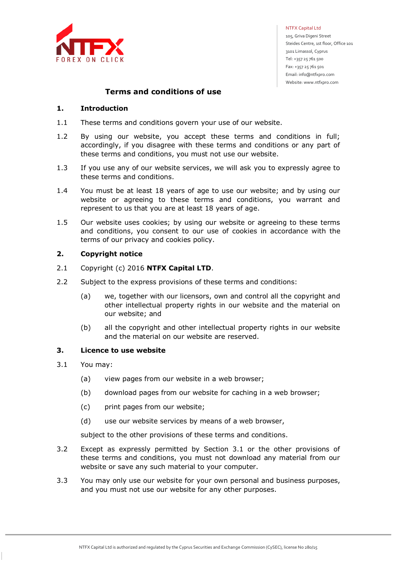

NTFX Capital Ltd

 105, Griva Digeni Street Steides Centre, 1st floor, Office 101 3101 Limassol, Cyprus Tel: +357 25 761 500 Fax: +357 25 761 501 Email: info@ntfxpro.com Website: www.ntfxpro.com

# **Terms and conditions of use**

### **1. Introduction**

- 1.1 These terms and conditions govern your use of our website.
- 1.2 By using our website, you accept these terms and conditions in full; accordingly, if you disagree with these terms and conditions or any part of these terms and conditions, you must not use our website.
- 1.3 If you use any of our website services, we will ask you to expressly agree to these terms and conditions.
- 1.4 You must be at least 18 years of age to use our website; and by using our website or agreeing to these terms and conditions, you warrant and represent to us that you are at least 18 years of age.
- 1.5 Our website uses cookies; by using our website or agreeing to these terms and conditions, you consent to our use of cookies in accordance with the terms of our privacy and cookies policy.

### **2. Copyright notice**

- 2.1 Copyright (c) 2016 **NTFX Capital LTD**.
- 2.2 Subject to the express provisions of these terms and conditions:
	- (a) we, together with our licensors, own and control all the copyright and other intellectual property rights in our website and the material on our website; and
	- (b) all the copyright and other intellectual property rights in our website and the material on our website are reserved.

### **3. Licence to use website**

- 3.1 You may:
	- (a) view pages from our website in a web browser;
	- (b) download pages from our website for caching in a web browser;
	- (c) print pages from our website;
	- (d) use our website services by means of a web browser,

subject to the other provisions of these terms and conditions.

- 3.2 Except as expressly permitted by Section 3.1 or the other provisions of these terms and conditions, you must not download any material from our website or save any such material to your computer.
- 3.3 You may only use our website for your own personal and business purposes, and you must not use our website for any other purposes.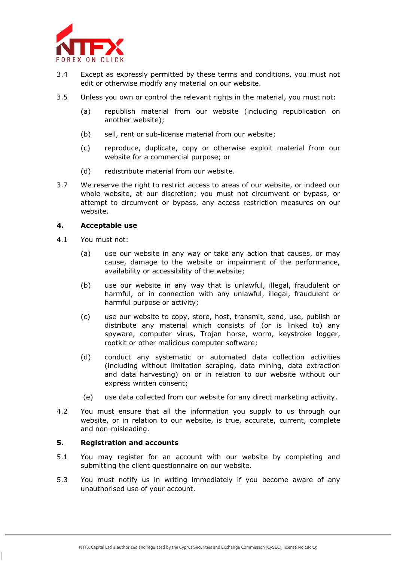

- 3.4 Except as expressly permitted by these terms and conditions, you must not edit or otherwise modify any material on our website.
- 3.5 Unless you own or control the relevant rights in the material, you must not:
	- (a) republish material from our website (including republication on another website);
	- (b) sell, rent or sub-license material from our website;
	- (c) reproduce, duplicate, copy or otherwise exploit material from our website for a commercial purpose; or
	- (d) redistribute material from our website.
- 3.7 We reserve the right to restrict access to areas of our website, or indeed our whole website, at our discretion; you must not circumvent or bypass, or attempt to circumvent or bypass, any access restriction measures on our website.

### **4. Acceptable use**

- 4.1 You must not:
	- (a) use our website in any way or take any action that causes, or may cause, damage to the website or impairment of the performance, availability or accessibility of the website;
	- (b) use our website in any way that is unlawful, illegal, fraudulent or harmful, or in connection with any unlawful, illegal, fraudulent or harmful purpose or activity;
	- (c) use our website to copy, store, host, transmit, send, use, publish or distribute any material which consists of (or is linked to) any spyware, computer virus, Trojan horse, worm, keystroke logger, rootkit or other malicious computer software;
	- (d) conduct any systematic or automated data collection activities (including without limitation scraping, data mining, data extraction and data harvesting) on or in relation to our website without our express written consent;
	- (e) use data collected from our website for any direct marketing activity.
- 4.2 You must ensure that all the information you supply to us through our website, or in relation to our website, is true, accurate, current, complete and non-misleading.

### **5. Registration and accounts**

- 5.1 You may register for an account with our website by completing and submitting the client questionnaire on our website.
- 5.3 You must notify us in writing immediately if you become aware of any unauthorised use of your account.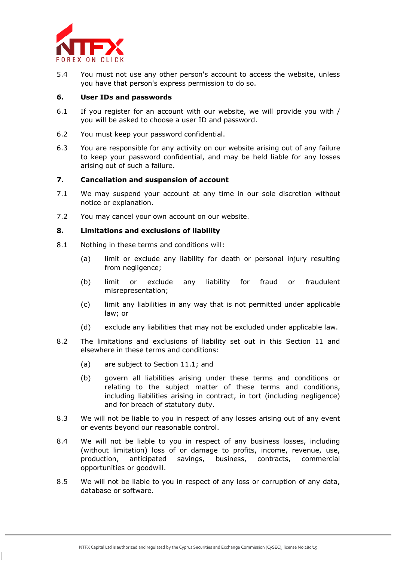

5.4 You must not use any other person's account to access the website, unless you have that person's express permission to do so.

### **6. User IDs and passwords**

- 6.1 If you register for an account with our website, we will provide you with / you will be asked to choose a user ID and password.
- 6.2 You must keep your password confidential.
- 6.3 You are responsible for any activity on our website arising out of any failure to keep your password confidential, and may be held liable for any losses arising out of such a failure.

### **7. Cancellation and suspension of account**

- 7.1 We may suspend your account at any time in our sole discretion without notice or explanation.
- 7.2 You may cancel your own account on our website.

# **8. Limitations and exclusions of liability**

- 8.1 Nothing in these terms and conditions will:
	- (a) limit or exclude any liability for death or personal injury resulting from negligence;
	- (b) limit or exclude any liability for fraud or fraudulent misrepresentation;
	- (c) limit any liabilities in any way that is not permitted under applicable law; or
	- (d) exclude any liabilities that may not be excluded under applicable law.
- 8.2 The limitations and exclusions of liability set out in this Section 11 and elsewhere in these terms and conditions:
	- (a) are subject to Section 11.1; and
	- (b) govern all liabilities arising under these terms and conditions or relating to the subject matter of these terms and conditions, including liabilities arising in contract, in tort (including negligence) and for breach of statutory duty.
- 8.3 We will not be liable to you in respect of any losses arising out of any event or events beyond our reasonable control.
- 8.4 We will not be liable to you in respect of any business losses, including (without limitation) loss of or damage to profits, income, revenue, use, production, anticipated savings, business, contracts, commercial opportunities or goodwill.
- 8.5 We will not be liable to you in respect of any loss or corruption of any data, database or software.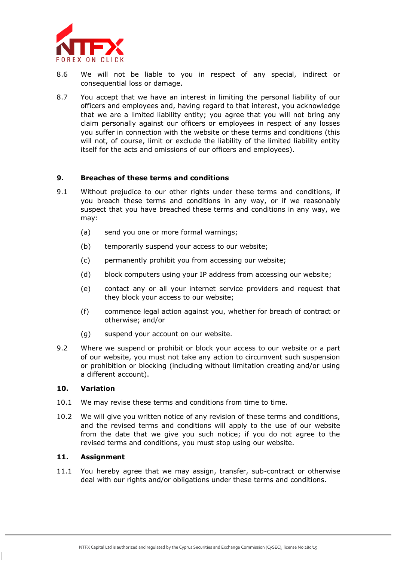

- 8.6 We will not be liable to you in respect of any special, indirect or consequential loss or damage.
- 8.7 You accept that we have an interest in limiting the personal liability of our officers and employees and, having regard to that interest, you acknowledge that we are a limited liability entity; you agree that you will not bring any claim personally against our officers or employees in respect of any losses you suffer in connection with the website or these terms and conditions (this will not, of course, limit or exclude the liability of the limited liability entity itself for the acts and omissions of our officers and employees).

### **9. Breaches of these terms and conditions**

- 9.1 Without prejudice to our other rights under these terms and conditions, if you breach these terms and conditions in any way, or if we reasonably suspect that you have breached these terms and conditions in any way, we may:
	- (a) send you one or more formal warnings;
	- (b) temporarily suspend your access to our website;
	- (c) permanently prohibit you from accessing our website;
	- (d) block computers using your IP address from accessing our website;
	- (e) contact any or all your internet service providers and request that they block your access to our website;
	- (f) commence legal action against you, whether for breach of contract or otherwise; and/or
	- (g) suspend your account on our website.
- 9.2 Where we suspend or prohibit or block your access to our website or a part of our website, you must not take any action to circumvent such suspension or prohibition or blocking (including without limitation creating and/or using a different account).

### **10. Variation**

- 10.1 We may revise these terms and conditions from time to time.
- 10.2 We will give you written notice of any revision of these terms and conditions, and the revised terms and conditions will apply to the use of our website from the date that we give you such notice; if you do not agree to the revised terms and conditions, you must stop using our website.

### **11. Assignment**

11.1 You hereby agree that we may assign, transfer, sub-contract or otherwise deal with our rights and/or obligations under these terms and conditions.